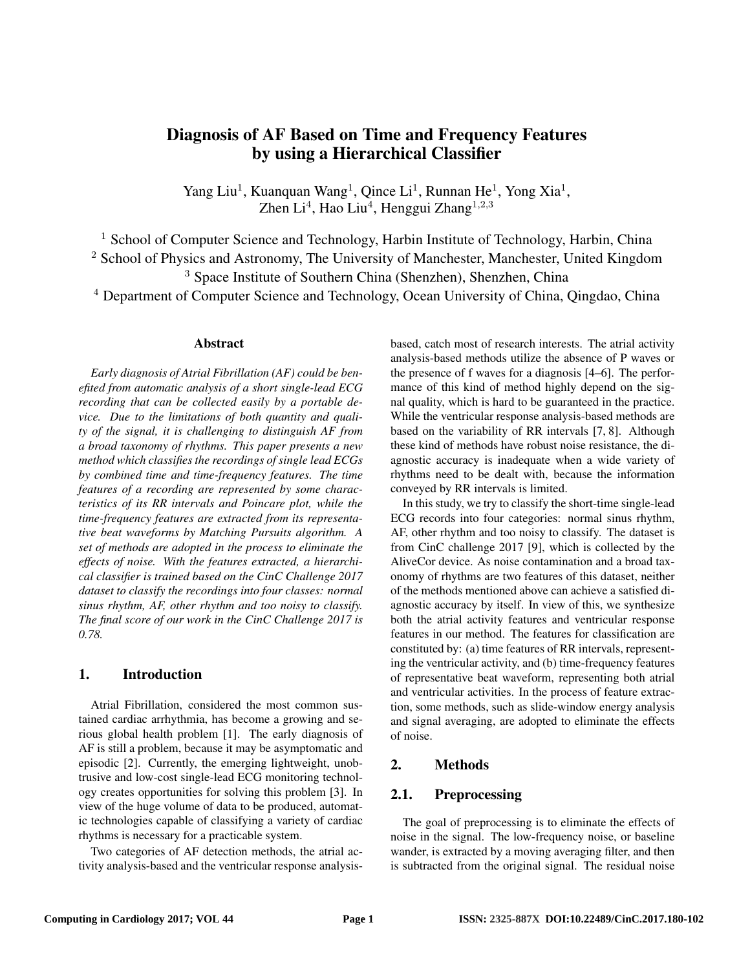# Diagnosis of AF Based on Time and Frequency Features by using a Hierarchical Classifier

Yang Liu<sup>1</sup>, Kuanquan Wang<sup>1</sup>, Qince Li<sup>1</sup>, Runnan He<sup>1</sup>, Yong Xia<sup>1</sup>, Zhen Li<sup>4</sup>, Hao Liu<sup>4</sup>, Henggui Zhang<sup>1,2,3</sup>

<sup>1</sup> School of Computer Science and Technology, Harbin Institute of Technology, Harbin, China <sup>2</sup> School of Physics and Astronomy, The University of Manchester, Manchester, United Kingdom

<sup>3</sup> Space Institute of Southern China (Shenzhen), Shenzhen, China

<sup>4</sup> Department of Computer Science and Technology, Ocean University of China, Qingdao, China

#### Abstract

*Early diagnosis of Atrial Fibrillation (AF) could be benefited from automatic analysis of a short single-lead ECG recording that can be collected easily by a portable device. Due to the limitations of both quantity and quality of the signal, it is challenging to distinguish AF from a broad taxonomy of rhythms. This paper presents a new method which classifies the recordings of single lead ECGs by combined time and time-frequency features. The time features of a recording are represented by some characteristics of its RR intervals and Poincare plot, while the time-frequency features are extracted from its representative beat waveforms by Matching Pursuits algorithm. A set of methods are adopted in the process to eliminate the effects of noise. With the features extracted, a hierarchical classifier is trained based on the CinC Challenge 2017 dataset to classify the recordings into four classes: normal sinus rhythm, AF, other rhythm and too noisy to classify. The final score of our work in the CinC Challenge 2017 is 0.78.*

#### 1. Introduction

Atrial Fibrillation, considered the most common sustained cardiac arrhythmia, has become a growing and serious global health problem [1]. The early diagnosis of AF is still a problem, because it may be asymptomatic and episodic [2]. Currently, the emerging lightweight, unobtrusive and low-cost single-lead ECG monitoring technology creates opportunities for solving this problem [3]. In view of the huge volume of data to be produced, automatic technologies capable of classifying a variety of cardiac rhythms is necessary for a practicable system.

Two categories of AF detection methods, the atrial activity analysis-based and the ventricular response analysisbased, catch most of research interests. The atrial activity analysis-based methods utilize the absence of P waves or the presence of f waves for a diagnosis [4–6]. The performance of this kind of method highly depend on the signal quality, which is hard to be guaranteed in the practice. While the ventricular response analysis-based methods are based on the variability of RR intervals [7, 8]. Although these kind of methods have robust noise resistance, the diagnostic accuracy is inadequate when a wide variety of rhythms need to be dealt with, because the information conveyed by RR intervals is limited.

In this study, we try to classify the short-time single-lead ECG records into four categories: normal sinus rhythm, AF, other rhythm and too noisy to classify. The dataset is from CinC challenge 2017 [9], which is collected by the AliveCor device. As noise contamination and a broad taxonomy of rhythms are two features of this dataset, neither of the methods mentioned above can achieve a satisfied diagnostic accuracy by itself. In view of this, we synthesize both the atrial activity features and ventricular response features in our method. The features for classification are constituted by: (a) time features of RR intervals, representing the ventricular activity, and (b) time-frequency features of representative beat waveform, representing both atrial and ventricular activities. In the process of feature extraction, some methods, such as slide-window energy analysis and signal averaging, are adopted to eliminate the effects of noise.

## 2. Methods

## 2.1. Preprocessing

The goal of preprocessing is to eliminate the effects of noise in the signal. The low-frequency noise, or baseline wander, is extracted by a moving averaging filter, and then is subtracted from the original signal. The residual noise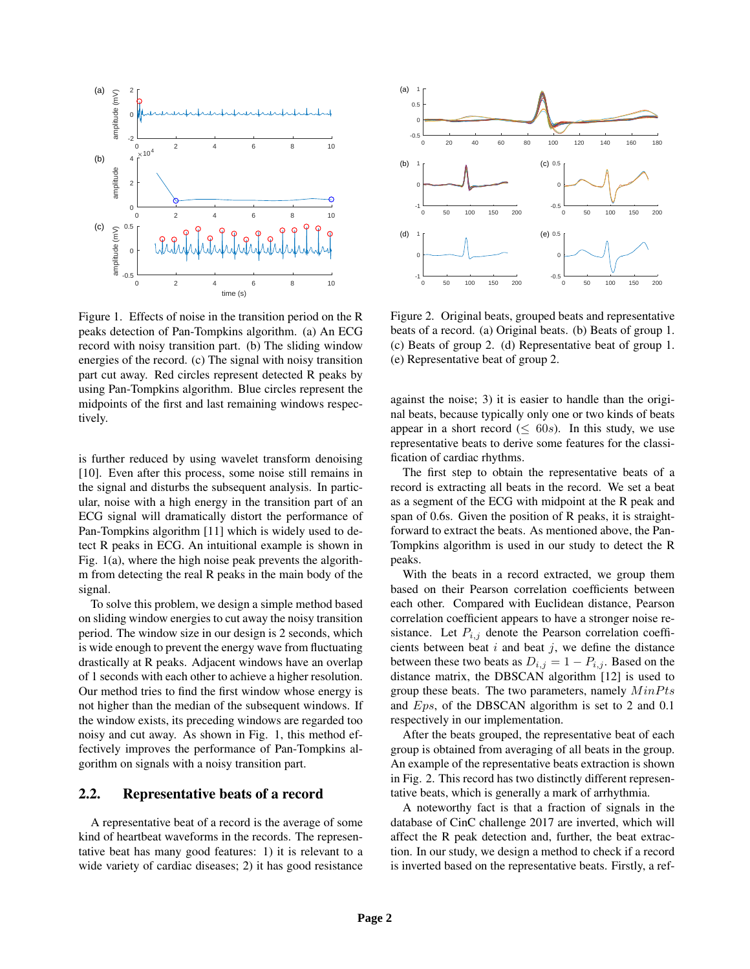

Figure 1. Effects of noise in the transition period on the R peaks detection of Pan-Tompkins algorithm. (a) An ECG record with noisy transition part. (b) The sliding window energies of the record. (c) The signal with noisy transition part cut away. Red circles represent detected R peaks by using Pan-Tompkins algorithm. Blue circles represent the midpoints of the first and last remaining windows respectively.

is further reduced by using wavelet transform denoising [10]. Even after this process, some noise still remains in the signal and disturbs the subsequent analysis. In particular, noise with a high energy in the transition part of an ECG signal will dramatically distort the performance of Pan-Tompkins algorithm [11] which is widely used to detect R peaks in ECG. An intuitional example is shown in Fig. 1(a), where the high noise peak prevents the algorithm from detecting the real R peaks in the main body of the signal.

To solve this problem, we design a simple method based on sliding window energies to cut away the noisy transition period. The window size in our design is 2 seconds, which is wide enough to prevent the energy wave from fluctuating drastically at R peaks. Adjacent windows have an overlap of 1 seconds with each other to achieve a higher resolution. Our method tries to find the first window whose energy is not higher than the median of the subsequent windows. If the window exists, its preceding windows are regarded too noisy and cut away. As shown in Fig. 1, this method effectively improves the performance of Pan-Tompkins algorithm on signals with a noisy transition part.

#### 2.2. Representative beats of a record

A representative beat of a record is the average of some kind of heartbeat waveforms in the records. The representative beat has many good features: 1) it is relevant to a wide variety of cardiac diseases; 2) it has good resistance



Figure 2. Original beats, grouped beats and representative beats of a record. (a) Original beats. (b) Beats of group 1. (c) Beats of group 2. (d) Representative beat of group 1. (e) Representative beat of group 2.

against the noise; 3) it is easier to handle than the original beats, because typically only one or two kinds of beats appear in a short record ( $\leq 60s$ ). In this study, we use representative beats to derive some features for the classification of cardiac rhythms.

The first step to obtain the representative beats of a record is extracting all beats in the record. We set a beat as a segment of the ECG with midpoint at the R peak and span of 0.6s. Given the position of R peaks, it is straightforward to extract the beats. As mentioned above, the Pan-Tompkins algorithm is used in our study to detect the R peaks.

With the beats in a record extracted, we group them based on their Pearson correlation coefficients between each other. Compared with Euclidean distance, Pearson correlation coefficient appears to have a stronger noise resistance. Let  $P_{i,j}$  denote the Pearson correlation coefficients between beat  $i$  and beat  $j$ , we define the distance between these two beats as  $D_{i,j} = 1 - P_{i,j}$ . Based on the distance matrix, the DBSCAN algorithm [12] is used to group these beats. The two parameters, namely  $MinPts$ and Eps, of the DBSCAN algorithm is set to 2 and 0.1 respectively in our implementation.

After the beats grouped, the representative beat of each group is obtained from averaging of all beats in the group. An example of the representative beats extraction is shown in Fig. 2. This record has two distinctly different representative beats, which is generally a mark of arrhythmia.

A noteworthy fact is that a fraction of signals in the database of CinC challenge 2017 are inverted, which will affect the R peak detection and, further, the beat extraction. In our study, we design a method to check if a record is inverted based on the representative beats. Firstly, a ref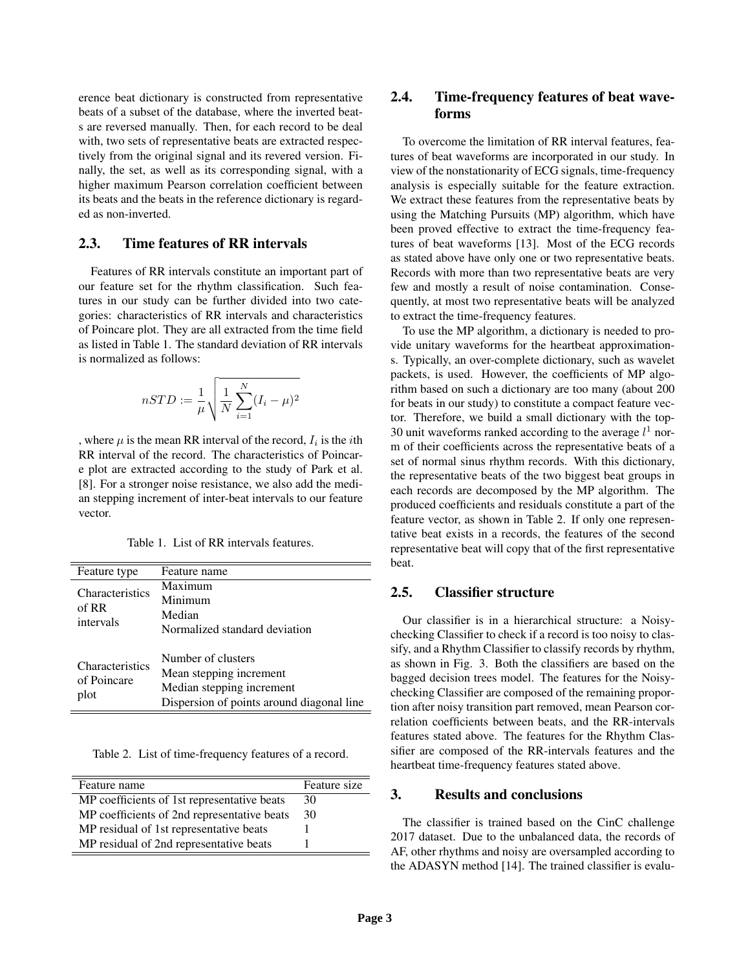erence beat dictionary is constructed from representative beats of a subset of the database, where the inverted beats are reversed manually. Then, for each record to be deal with, two sets of representative beats are extracted respectively from the original signal and its revered version. Finally, the set, as well as its corresponding signal, with a higher maximum Pearson correlation coefficient between its beats and the beats in the reference dictionary is regarded as non-inverted.

#### 2.3. Time features of RR intervals

Features of RR intervals constitute an important part of our feature set for the rhythm classification. Such features in our study can be further divided into two categories: characteristics of RR intervals and characteristics of Poincare plot. They are all extracted from the time field as listed in Table 1. The standard deviation of RR intervals is normalized as follows:

$$
nSTD := \frac{1}{\mu} \sqrt{\frac{1}{N} \sum_{i=1}^{N} (I_i - \mu)^2}
$$

, where  $\mu$  is the mean RR interval of the record,  $I_i$  is the *i*th RR interval of the record. The characteristics of Poincare plot are extracted according to the study of Park et al. [8]. For a stronger noise resistance, we also add the median stepping increment of inter-beat intervals to our feature vector.

Table 1. List of RR intervals features.

| Feature type                                  | Feature name                                                                                                            |
|-----------------------------------------------|-------------------------------------------------------------------------------------------------------------------------|
| Characteristics<br>of RR<br>intervals         | Maximum<br>Minimum<br>Median<br>Normalized standard deviation                                                           |
| <b>Characteristics</b><br>of Poincare<br>plot | Number of clusters<br>Mean stepping increment<br>Median stepping increment<br>Dispersion of points around diagonal line |

Table 2. List of time-frequency features of a record.

| Feature name                                | Feature size |
|---------------------------------------------|--------------|
| MP coefficients of 1st representative beats | 30           |
| MP coefficients of 2nd representative beats | 30           |
| MP residual of 1st representative beats     |              |
| MP residual of 2nd representative beats     |              |

## 2.4. Time-frequency features of beat waveforms

To overcome the limitation of RR interval features, features of beat waveforms are incorporated in our study. In view of the nonstationarity of ECG signals, time-frequency analysis is especially suitable for the feature extraction. We extract these features from the representative beats by using the Matching Pursuits (MP) algorithm, which have been proved effective to extract the time-frequency features of beat waveforms [13]. Most of the ECG records as stated above have only one or two representative beats. Records with more than two representative beats are very few and mostly a result of noise contamination. Consequently, at most two representative beats will be analyzed to extract the time-frequency features.

To use the MP algorithm, a dictionary is needed to provide unitary waveforms for the heartbeat approximations. Typically, an over-complete dictionary, such as wavelet packets, is used. However, the coefficients of MP algorithm based on such a dictionary are too many (about 200 for beats in our study) to constitute a compact feature vector. Therefore, we build a small dictionary with the top-30 unit waveforms ranked according to the average  $l^1$  norm of their coefficients across the representative beats of a set of normal sinus rhythm records. With this dictionary, the representative beats of the two biggest beat groups in each records are decomposed by the MP algorithm. The produced coefficients and residuals constitute a part of the feature vector, as shown in Table 2. If only one representative beat exists in a records, the features of the second representative beat will copy that of the first representative beat.

# 2.5. Classifier structure

Our classifier is in a hierarchical structure: a Noisychecking Classifier to check if a record is too noisy to classify, and a Rhythm Classifier to classify records by rhythm, as shown in Fig. 3. Both the classifiers are based on the bagged decision trees model. The features for the Noisychecking Classifier are composed of the remaining proportion after noisy transition part removed, mean Pearson correlation coefficients between beats, and the RR-intervals features stated above. The features for the Rhythm Classifier are composed of the RR-intervals features and the heartbeat time-frequency features stated above.

#### 3. Results and conclusions

The classifier is trained based on the CinC challenge 2017 dataset. Due to the unbalanced data, the records of AF, other rhythms and noisy are oversampled according to the ADASYN method [14]. The trained classifier is evalu-